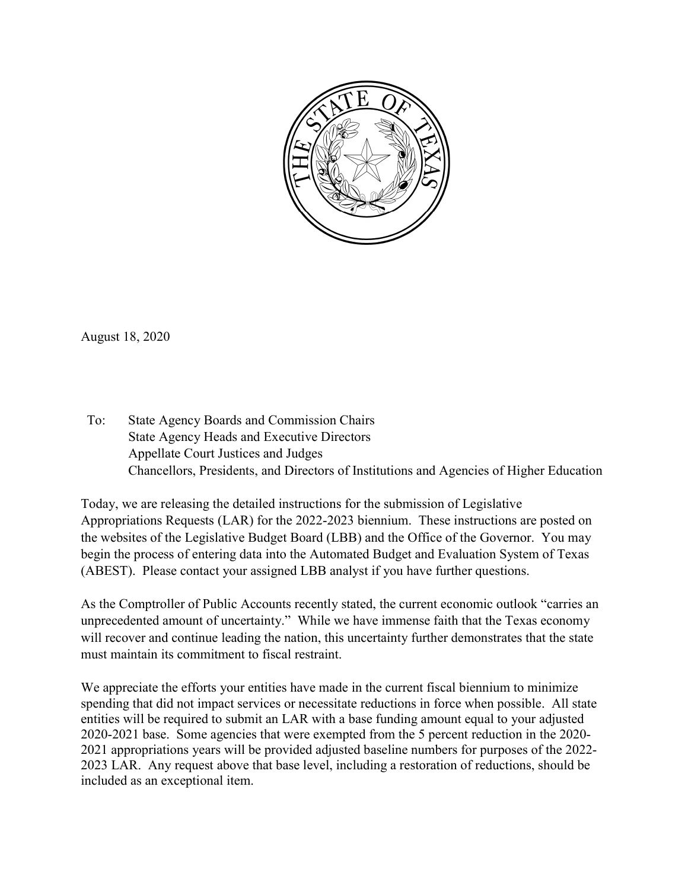

August 18, 2020

To: State Agency Boards and Commission Chairs State Agency Heads and Executive Directors Appellate Court Justices and Judges Chancellors, Presidents, and Directors of Institutions and Agencies of Higher Education

Today, we are releasing the detailed instructions for the submission of Legislative Appropriations Requests (LAR) for the 2022-2023 biennium. These instructions are posted on the websites of the Legislative Budget Board (LBB) and the Office of the Governor. You may begin the process of entering data into the Automated Budget and Evaluation System of Texas (ABEST). Please contact your assigned LBB analyst if you have further questions.

As the Comptroller of Public Accounts recently stated, the current economic outlook "carries an unprecedented amount of uncertainty." While we have immense faith that the Texas economy will recover and continue leading the nation, this uncertainty further demonstrates that the state must maintain its commitment to fiscal restraint.

We appreciate the efforts your entities have made in the current fiscal biennium to minimize spending that did not impact services or necessitate reductions in force when possible. All state entities will be required to submit an LAR with a base funding amount equal to your adjusted 2020-2021 base. Some agencies that were exempted from the 5 percent reduction in the 2020- 2021 appropriations years will be provided adjusted baseline numbers for purposes of the 2022- 2023 LAR. Any request above that base level, including a restoration of reductions, should be included as an exceptional item.